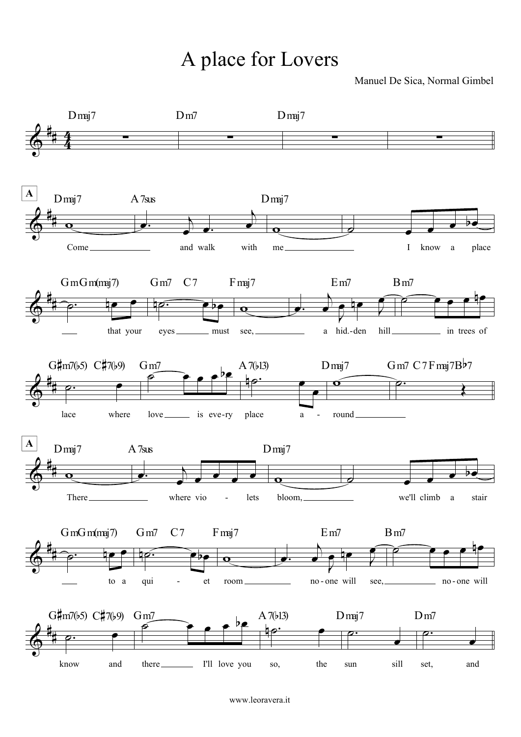## A place for Lovers

Manuel De Sica, Normal Gimbel